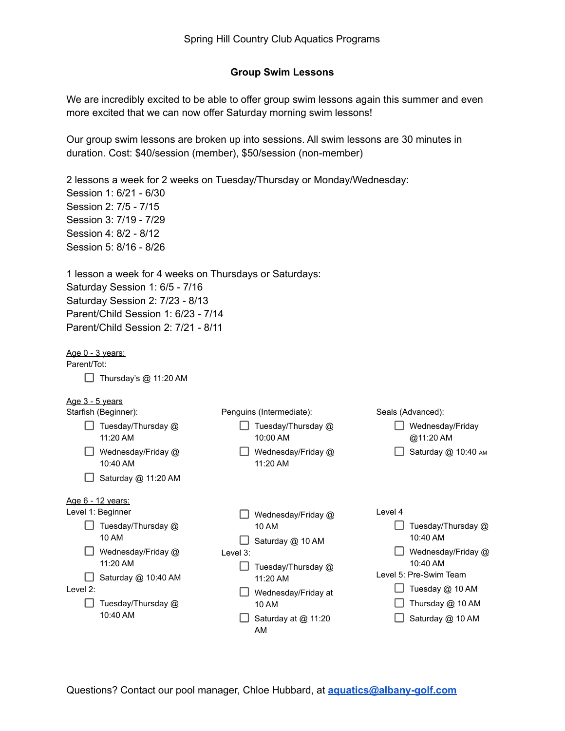# **Group Swim Lessons**

We are incredibly excited to be able to offer group swim lessons again this summer and even more excited that we can now offer Saturday morning swim lessons!

Our group swim lessons are broken up into sessions. All swim lessons are 30 minutes in duration. Cost: \$40/session (member), \$50/session (non-member)

2 lessons a week for 2 weeks on Tuesday/Thursday or Monday/Wednesday: Session 1: 6/21 - 6/30 Session 2: 7/5 - 7/15 Session 3: 7/19 - 7/29 Session 4: 8/2 - 8/12 Session 5: 8/16 - 8/26

1 lesson a week for 4 weeks on Thursdays or Saturdays: Saturday Session 1: 6/5 - 7/16 Saturday Session 2: 7/23 - 8/13 Parent/Child Session 1: 6/23 - 7/14 Parent/Child Session 2: 7/21 - 8/11

Age 0 - 3 years:

Parent/Tot:

 $\Box$  Thursday's @ 11:20 AM

Age 3 - 5 years

| Starfish (Beginner):           | Penguins (Intermediate):       | Seals (Advanced):             |
|--------------------------------|--------------------------------|-------------------------------|
| Tuesday/Thursday @<br>11:20 AM | Tuesday/Thursday @<br>10:00 AM | Wednesday/Friday<br>@11:20 AM |
| Wednesday/Friday @<br>10:40 AM | Wednesday/Friday @<br>11:20 AM | Saturday @ 10:40 AM           |
| Saturday @ 11:20 AM            |                                |                               |
| <u>Age 6 - 12 years:</u>       |                                |                               |
| Level 1: Beginner              | Wednesday/Friday @             | Level 4                       |
| Tuesday/Thursday @             | 10 AM                          | Tuesday/Thursday @            |
| 10 AM                          | Saturday @ 10 AM               | 10:40 AM                      |
| Wednesday/Friday @             | Level 3:                       | Wednesday/Friday @            |
| 11:20 AM                       | Tuesday/Thursday @             | 10:40 AM                      |
| Saturday @ 10:40 AM            | 11:20 AM                       | Level 5: Pre-Swim Team        |
| Level 2:                       | Wednesday/Friday at            | Tuesday @ 10 AM               |
| Tuesday/Thursday @             | 10 AM                          | Thursday @ 10 AM              |
| 10:40 AM                       | Saturday at @ 11:20            | Saturday @ 10 AM              |
|                                | AM                             |                               |
|                                |                                |                               |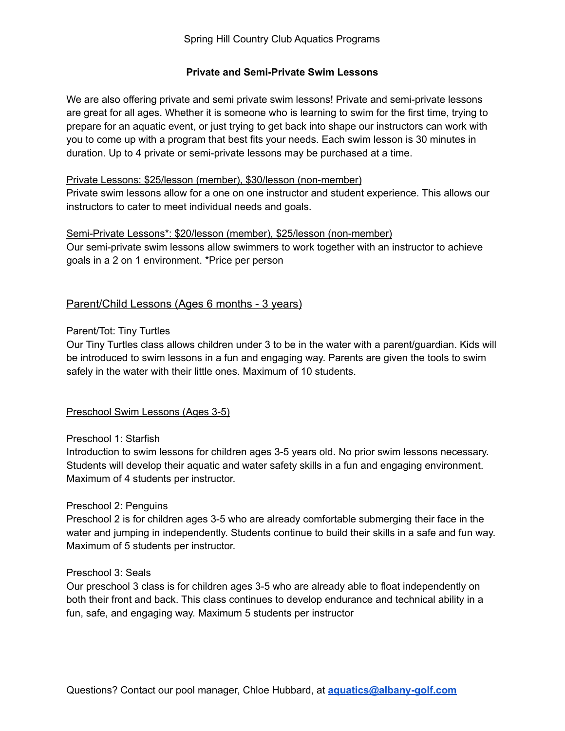# **Private and Semi-Private Swim Lessons**

We are also offering private and semi private swim lessons! Private and semi-private lessons are great for all ages. Whether it is someone who is learning to swim for the first time, trying to prepare for an aquatic event, or just trying to get back into shape our instructors can work with you to come up with a program that best fits your needs. Each swim lesson is 30 minutes in duration. Up to 4 private or semi-private lessons may be purchased at a time.

# Private Lessons: \$25/lesson (member), \$30/lesson (non-member)

Private swim lessons allow for a one on one instructor and student experience. This allows our instructors to cater to meet individual needs and goals.

#### Semi-Private Lessons\*: \$20/lesson (member), \$25/lesson (non-member)

Our semi-private swim lessons allow swimmers to work together with an instructor to achieve goals in a 2 on 1 environment. \*Price per person

# Parent/Child Lessons (Ages 6 months - 3 years)

# Parent/Tot: Tiny Turtles

Our Tiny Turtles class allows children under 3 to be in the water with a parent/guardian. Kids will be introduced to swim lessons in a fun and engaging way. Parents are given the tools to swim safely in the water with their little ones. Maximum of 10 students.

# Preschool Swim Lessons (Ages 3-5)

#### Preschool 1: Starfish

Introduction to swim lessons for children ages 3-5 years old. No prior swim lessons necessary. Students will develop their aquatic and water safety skills in a fun and engaging environment. Maximum of 4 students per instructor.

#### Preschool 2: Penguins

Preschool 2 is for children ages 3-5 who are already comfortable submerging their face in the water and jumping in independently. Students continue to build their skills in a safe and fun way. Maximum of 5 students per instructor.

#### Preschool 3: Seals

Our preschool 3 class is for children ages 3-5 who are already able to float independently on both their front and back. This class continues to develop endurance and technical ability in a fun, safe, and engaging way. Maximum 5 students per instructor